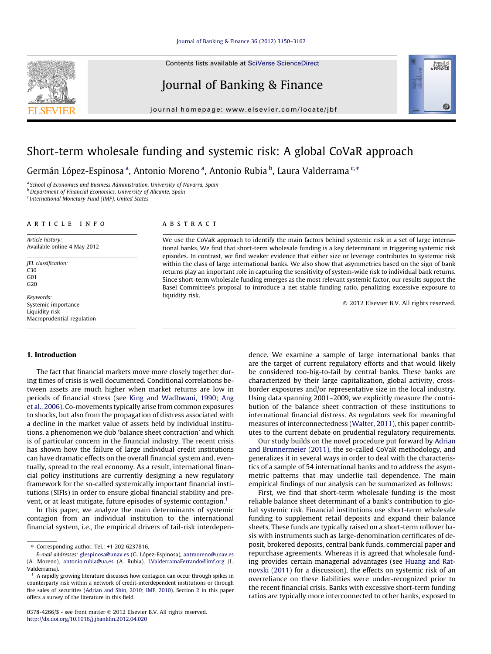Contents lists available at [SciVerse ScienceDirect](http://www.sciencedirect.com/science/journal/03784266)

### Journal of Banking & Finance

journal homepage: [www.elsevier.com/locate/jbf](http://www.elsevier.com/locate/jbf)

## Short-term wholesale funding and systemic risk: A global CoVaR approach

Germán López-Espinosaª, Antonio Morenoª, Antonio Rubia<sup> b</sup>, Laura Valderrama<sup>.c,</sup>\*

<sup>a</sup> School of Economics and Business Administration, University of Navarra, Spain **b** Department of Financial Economics, University of Alicante, Spain

<sup>c</sup> International Monetary Fund (IMF), United States

#### article info

Article history: Available online 4 May 2012

JEL classification: C30  $C<sub>01</sub>$ G<sub>20</sub>

Keywords: Systemic importance Liquidity risk Macroprudential regulation

#### **ABSTRACT**

We use the CoVaR approach to identify the main factors behind systemic risk in a set of large international banks. We find that short-term wholesale funding is a key determinant in triggering systemic risk episodes. In contrast, we find weaker evidence that either size or leverage contributes to systemic risk within the class of large international banks. We also show that asymmetries based on the sign of bank returns play an important role in capturing the sensitivity of system-wide risk to individual bank returns. Since short-term wholesale funding emerges as the most relevant systemic factor, our results support the Basel Committee's proposal to introduce a net stable funding ratio, penalizing excessive exposure to liquidity risk.

- 2012 Elsevier B.V. All rights reserved.

Journal of<br>BANKING<br>& FINANCE

 $\circledcirc$ 

#### 1. Introduction

The fact that financial markets move more closely together during times of crisis is well documented. Conditional correlations between assets are much higher when market returns are low in periods of financial stress (see [King and Wadhwani, 1990; Ang](#page--1-0) [et al., 2006\)](#page--1-0). Co-movements typically arise from common exposures to shocks, but also from the propagation of distress associated with a decline in the market value of assets held by individual institutions, a phenomenon we dub 'balance sheet contraction' and which is of particular concern in the financial industry. The recent crisis has shown how the failure of large individual credit institutions can have dramatic effects on the overall financial system and, eventually, spread to the real economy. As a result, international financial policy institutions are currently designing a new regulatory framework for the so-called systemically important financial institutions (SIFIs) in order to ensure global financial stability and prevent, or at least mitigate, future episodes of systemic contagion.<sup>1</sup>

In this paper, we analyze the main determinants of systemic contagion from an individual institution to the international financial system, i.e., the empirical drivers of tail-risk interdependence. We examine a sample of large international banks that are the target of current regulatory efforts and that would likely be considered too-big-to-fail by central banks. These banks are characterized by their large capitalization, global activity, crossborder exposures and/or representative size in the local industry. Using data spanning 2001–2009, we explicitly measure the contribution of the balance sheet contraction of these institutions to international financial distress. As regulators seek for meaningful measures of interconnectedness [\(Walter, 2011\)](#page--1-0), this paper contributes to the current debate on prudential regulatory requirements.

Our study builds on the novel procedure put forward by [Adrian](#page--1-0) [and Brunnermeier \(2011\)](#page--1-0), the so-called CoVaR methodology, and generalizes it in several ways in order to deal with the characteristics of a sample of 54 international banks and to address the asymmetric patterns that may underlie tail dependence. The main empirical findings of our analysis can be summarized as follows:

First, we find that short-term wholesale funding is the most reliable balance sheet determinant of a bank's contribution to global systemic risk. Financial institutions use short-term wholesale funding to supplement retail deposits and expand their balance sheets. These funds are typically raised on a short-term rollover basis with instruments such as large-denomination certificates of deposit, brokered deposits, central bank funds, commercial paper and repurchase agreements. Whereas it is agreed that wholesale funding provides certain managerial advantages (see [Huang and Rat](#page--1-0)[novski \(2011\)](#page--1-0) for a discussion), the effects on systemic risk of an overreliance on these liabilities were under-recognized prior to the recent financial crisis. Banks with excessive short-term funding ratios are typically more interconnected to other banks, exposed to



<sup>⇑</sup> Corresponding author. Tel.: +1 202 6237816.

E-mail addresses: [glespinosa@unav.es](mailto:glespinosa@unav.es) (G. López-Espinosa), [antmoreno@unav.es](mailto:antmoreno@unav.es) (A. Moreno), [antonio.rubia@ua.es](mailto:antonio.rubia@ua.es) (A. Rubia), [LValderramaFerrando@imf.org](mailto:LValderramaFerrando@imf.org) (L. Valderrama).

 $1$  A rapidly growing literature discusses how contagion can occur through spikes in counterparty risk within a network of credit-interdependent institutions or through fire sales of securities [\(Adrian and Shin, 2010; IMF, 2010](#page--1-0)). Section [2](#page-1-0) in this paper offers a survey of the literature in this field.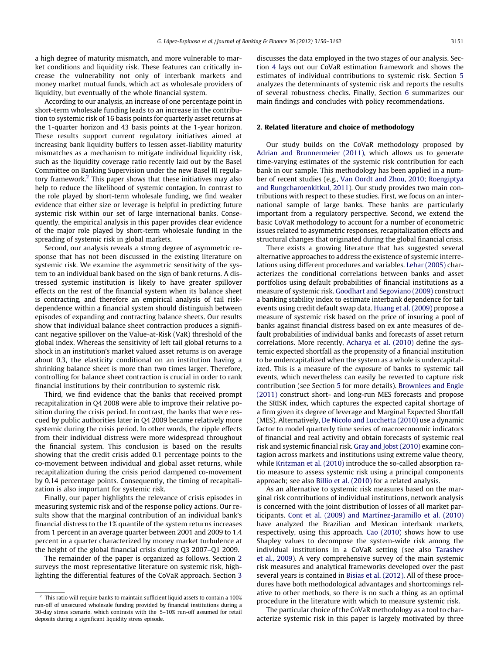<span id="page-1-0"></span>a high degree of maturity mismatch, and more vulnerable to market conditions and liquidity risk. These features can critically increase the vulnerability not only of interbank markets and money market mutual funds, which act as wholesale providers of liquidity, but eventually of the whole financial system.

According to our analysis, an increase of one percentage point in short-term wholesale funding leads to an increase in the contribution to systemic risk of 16 basis points for quarterly asset returns at the 1-quarter horizon and 43 basis points at the 1-year horizon. These results support current regulatory initiatives aimed at increasing bank liquidity buffers to lessen asset-liability maturity mismatches as a mechanism to mitigate individual liquidity risk, such as the liquidity coverage ratio recently laid out by the Basel Committee on Banking Supervision under the new Basel III regulatory framework. $2$  This paper shows that these initiatives may also help to reduce the likelihood of systemic contagion. In contrast to the role played by short-term wholesale funding, we find weaker evidence that either size or leverage is helpful in predicting future systemic risk within our set of large international banks. Consequently, the empirical analysis in this paper provides clear evidence of the major role played by short-term wholesale funding in the spreading of systemic risk in global markets.

Second, our analysis reveals a strong degree of asymmetric response that has not been discussed in the existing literature on systemic risk. We examine the asymmetric sensitivity of the system to an individual bank based on the sign of bank returns. A distressed systemic institution is likely to have greater spillover effects on the rest of the financial system when its balance sheet is contracting, and therefore an empirical analysis of tail riskdependence within a financial system should distinguish between episodes of expanding and contracting balance sheets. Our results show that individual balance sheet contraction produces a significant negative spillover on the Value-at-Risk (VaR) threshold of the global index. Whereas the sensitivity of left tail global returns to a shock in an institution's market valued asset returns is on average about 0.3, the elasticity conditional on an institution having a shrinking balance sheet is more than two times larger. Therefore, controlling for balance sheet contraction is crucial in order to rank financial institutions by their contribution to systemic risk.

Third, we find evidence that the banks that received prompt recapitalization in Q4 2008 were able to improve their relative position during the crisis period. In contrast, the banks that were rescued by public authorities later in Q4 2009 became relatively more systemic during the crisis period. In other words, the ripple effects from their individual distress were more widespread throughout the financial system. This conclusion is based on the results showing that the credit crisis added 0.1 percentage points to the co-movement between individual and global asset returns, while recapitalization during the crisis period dampened co-movement by 0.14 percentage points. Consequently, the timing of recapitalization is also important for systemic risk.

Finally, our paper highlights the relevance of crisis episodes in measuring systemic risk and of the response policy actions. Our results show that the marginal contribution of an individual bank's financial distress to the 1% quantile of the system returns increases from 1 percent in an average quarter between 2001 and 2009 to 1.4 percent in a quarter characterized by money market turbulence at the height of the global financial crisis during Q3 2007–Q1 2009.

The remainder of the paper is organized as follows. Section 2 surveys the most representative literature on systemic risk, highlighting the differential features of the CoVaR approach. Section [3](#page--1-0) discusses the data employed in the two stages of our analysis. Section [4](#page--1-0) lays out our CoVaR estimation framework and shows the estimates of individual contributions to systemic risk. Section [5](#page--1-0) analyzes the determinants of systemic risk and reports the results of several robustness checks. Finally, Section [6](#page--1-0) summarizes our main findings and concludes with policy recommendations.

### 2. Related literature and choice of methodology

Our study builds on the CoVaR methodology proposed by [Adrian and Brunnermeier \(2011\),](#page--1-0) which allows us to generate time-varying estimates of the systemic risk contribution for each bank in our sample. This methodology has been applied in a number of recent studies (e.g., [Van Oordt and Zhou, 2010; Roengiptya](#page--1-0) [and Rungcharoenkitkul, 2011](#page--1-0)). Our study provides two main contributions with respect to these studies. First, we focus on an international sample of large banks. These banks are particularly important from a regulatory perspective. Second, we extend the basic CoVaR methodology to account for a number of econometric issues related to asymmetric responses, recapitalization effects and structural changes that originated during the global financial crisis.

There exists a growing literature that has suggested several alternative approaches to address the existence of systemic interrelations using different procedures and variables. [Lehar \(2005\)](#page--1-0) characterizes the conditional correlations between banks and asset portfolios using default probabilities of financial institutions as a measure of systemic risk. [Goodhart and Segoviano \(2009\)](#page--1-0) construct a banking stability index to estimate interbank dependence for tail events using credit default swap data. [Huang et al. \(2009\)](#page--1-0) propose a measure of systemic risk based on the price of insuring a pool of banks against financial distress based on ex ante measures of default probabilities of individual banks and forecasts of asset return correlations. More recently, [Acharya et al. \(2010\)](#page--1-0) define the systemic expected shortfall as the propensity of a financial institution to be undercapitalized when the system as a whole is undercapitalized. This is a measure of the exposure of banks to systemic tail events, which nevertheless can easily be reverted to capture risk contribution (see Section [5](#page--1-0) for more details). [Brownlees and Engle](#page--1-0) [\(2011\)](#page--1-0) construct short- and long-run MES forecasts and propose the SRISK index, which captures the expected capital shortage of a firm given its degree of leverage and Marginal Expected Shortfall (MES). Alternatively, [De Nicolo and Lucchetta \(2010\)](#page--1-0) use a dynamic factor to model quarterly time series of macroeconomic indicators of financial and real activity and obtain forecasts of systemic real risk and systemic financial risk. [Gray and Jobst \(2010\)](#page--1-0) examine contagion across markets and institutions using extreme value theory, while [Kritzman et al. \(2010\)](#page--1-0) introduce the so-called absorption ratio measure to assess systemic risk using a principal components approach; see also [Billio et al. \(2010\)](#page--1-0) for a related analysis.

As an alternative to systemic risk measures based on the marginal risk contributions of individual institutions, network analysis is concerned with the joint distribution of losses of all market participants. [Cont et al. \(2009\) and Martínez-Jaramillo et al. \(2010\)](#page--1-0) have analyzed the Brazilian and Mexican interbank markets, respectively, using this approach. [Cao \(2010\)](#page--1-0) shows how to use Shapley values to decompose the system-wide risk among the individual institutions in a CoVaR setting (see also [Tarashev](#page--1-0) [et al., 2009\)](#page--1-0). A very comprehensive survey of the main systemic risk measures and analytical frameworks developed over the past several years is contained in [Bisias et al. \(2012\).](#page--1-0) All of these procedures have both methodological advantages and shortcomings relative to other methods, so there is no such a thing as an optimal procedure in the literature with which to measure systemic risk.

The particular choice of the CoVaR methodology as a tool to characterize systemic risk in this paper is largely motivated by three

 $2$  This ratio will require banks to maintain sufficient liquid assets to contain a 100% run-off of unsecured wholesale funding provided by financial institutions during a 30-day stress scenario, which contrasts with the 5–10% run-off assumed for retail deposits during a significant liquidity stress episode.